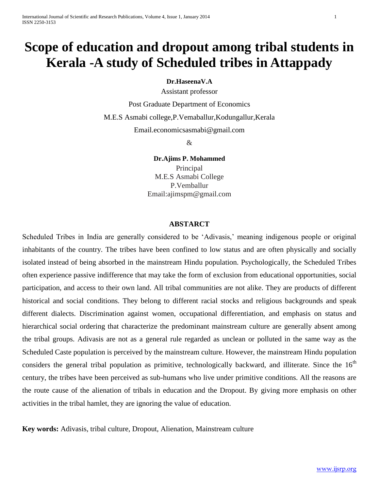# **Scope of education and dropout among tribal students in Kerala -A study of Scheduled tribes in Attappady**

### **Dr.HaseenaV.A**

Assistant professor

Post Graduate Department of Economics

M.E.S Asmabi college,P.Vemaballur,Kodungallur,Kerala

Email.economicsasmabi@gmail.com

&

**Dr.Ajims P. Mohammed**

Principal M.E.S Asmabi College P.Vemballur Email:ajimspm@gmail.com

### **ABSTARCT**

Scheduled Tribes in India are generally considered to be 'Adivasis,' meaning indigenous people or original inhabitants of the country. The tribes have been confined to low status and are often physically and socially isolated instead of being absorbed in the mainstream Hindu population. Psychologically, the Scheduled Tribes often experience passive indifference that may take the form of exclusion from educational opportunities, social participation, and access to their own land. All tribal communities are not alike. They are products of different historical and social conditions. They belong to different racial stocks and religious backgrounds and speak different dialects. Discrimination against women, occupational differentiation, and emphasis on status and hierarchical social ordering that characterize the predominant mainstream culture are generally absent among the tribal groups. Adivasis are not as a general rule regarded as unclean or polluted in the same way as the Scheduled Caste population is perceived by the mainstream culture. However, the mainstream Hindu population considers the general tribal population as primitive, technologically backward, and illiterate. Since the  $16<sup>th</sup>$ century, the tribes have been perceived as sub-humans who live under primitive conditions. All the reasons are the route cause of the alienation of tribals in education and the Dropout. By giving more emphasis on other activities in the tribal hamlet, they are ignoring the value of education.

**Key words:** Adivasis, tribal culture, Dropout, Alienation, Mainstream culture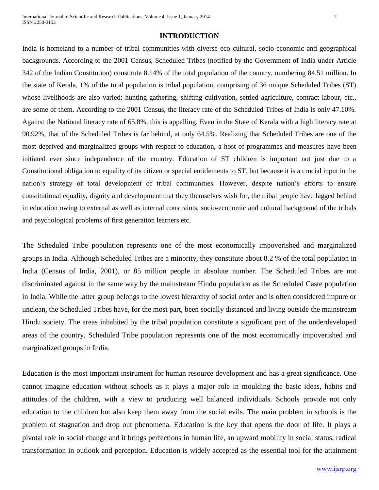#### **INTRODUCTION**

India is homeland to a number of tribal communities with diverse eco-cultural, socio-economic and geographical backgrounds. According to the 2001 Census, Scheduled Tribes (notified by the Government of India under Article 342 of the Indian Constitution) constitute 8.14% of the total population of the country, numbering 84.51 million. In the state of Kerala, 1% of the total population is tribal population, comprising of 36 unique Scheduled Tribes (ST) whose livelihoods are also varied: hunting-gathering, shifting cultivation, settled agriculture, contract labour, etc., are some of them. According to the 2001 Census, the literacy rate of the Scheduled Tribes of India is only 47.10%. Against the National literacy rate of 65.8%, this is appalling. Even in the State of Kerala with a high literacy rate at 90.92%, that of the Scheduled Tribes is far behind, at only 64.5%. Realizing that Scheduled Tribes are one of the most deprived and marginalized groups with respect to education, a host of programmes and measures have been initiated ever since independence of the country. Education of ST children is important not just due to a Constitutional obligation to equality of its citizen or special entitlements to ST, but because it is a crucial input in the nation's strategy of total development of tribal communities. However, despite nation's efforts to ensure constitutional equality, dignity and development that they themselves wish for, the tribal people have lagged behind in education owing to external as well as internal constraints, socio-economic and cultural background of the tribals and psychological problems of first generation learners etc.

The Scheduled Tribe population represents one of the most economically impoverished and marginalized groups in India. Although Scheduled Tribes are a minority, they constitute about 8.2 % of the total population in India (Census of India, 2001), or 85 million people in absolute number. The Scheduled Tribes are not discriminated against in the same way by the mainstream Hindu population as the Scheduled Caste population in India. While the latter group belongs to the lowest hierarchy of social order and is often considered impure or unclean, the Scheduled Tribes have, for the most part, been socially distanced and living outside the mainstream Hindu society. The areas inhabited by the tribal population constitute a significant part of the underdeveloped areas of the country. Scheduled Tribe population represents one of the most economically impoverished and marginalized groups in India.

Education is the most important instrument for human resource development and has a great significance. One cannot imagine education without schools as it plays a major role in moulding the basic ideas, habits and attitudes of the children, with a view to producing well balanced individuals. Schools provide not only education to the children but also keep them away from the social evils. The main problem in schools is the problem of stagnation and drop out phenomena. Education is the key that opens the door of life. It plays a pivotal role in social change and it brings perfections in human life, an upward mobility in social status, radical transformation in outlook and perception. Education is widely accepted as the essential tool for the attainment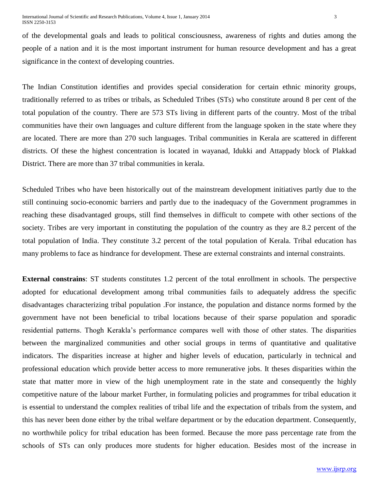of the developmental goals and leads to political consciousness, awareness of rights and duties among the people of a nation and it is the most important instrument for human resource development and has a great significance in the context of developing countries.

The Indian Constitution identifies and provides special consideration for certain ethnic minority groups, traditionally referred to as tribes or tribals, as Scheduled Tribes (STs) who constitute around 8 per cent of the total population of the country. There are 573 STs living in different parts of the country. Most of the tribal communities have their own languages and culture different from the language spoken in the state where they are located. There are more than 270 such languages. Tribal communities in Kerala are scattered in different districts. Of these the highest concentration is located in wayanad, Idukki and Attappady block of Plakkad District. There are more than 37 tribal communities in kerala.

Scheduled Tribes who have been historically out of the mainstream development initiatives partly due to the still continuing socio-economic barriers and partly due to the inadequacy of the Government programmes in reaching these disadvantaged groups, still find themselves in difficult to compete with other sections of the society. Tribes are very important in constituting the population of the country as they are 8.2 percent of the total population of India. They constitute 3.2 percent of the total population of Kerala. Tribal education has many problems to face as hindrance for development. These are external constraints and internal constraints.

**External constrains**: ST students constitutes 1.2 percent of the total enrollment in schools. The perspective adopted for educational development among tribal communities fails to adequately address the specific disadvantages characterizing tribal population .For instance, the population and distance norms formed by the government have not been beneficial to tribal locations because of their sparse population and sporadic residential patterns. Thogh Kerakla's performance compares well with those of other states. The disparities between the marginalized communities and other social groups in terms of quantitative and qualitative indicators. The disparities increase at higher and higher levels of education, particularly in technical and professional education which provide better access to more remunerative jobs. It theses disparities within the state that matter more in view of the high unemployment rate in the state and consequently the highly competitive nature of the labour market Further, in formulating policies and programmes for tribal education it is essential to understand the complex realities of tribal life and the expectation of tribals from the system, and this has never been done either by the tribal welfare department or by the education department. Consequently, no worthwhile policy for tribal education has been formed. Because the more pass percentage rate from the schools of STs can only produces more students for higher education. Besides most of the increase in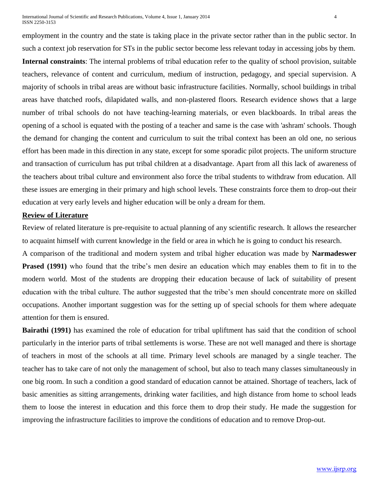International Journal of Scientific and Research Publications, Volume 4, Issue 1, January 2014 4 ISSN 2250-3153

employment in the country and the state is taking place in the private sector rather than in the public sector. In such a context job reservation for STs in the public sector become less relevant today in accessing jobs by them. **Internal constraints**: The internal problems of tribal education refer to the quality of school provision, suitable teachers, relevance of content and curriculum, medium of instruction, pedagogy, and special supervision. A majority of schools in tribal areas are without basic infrastructure facilities. Normally, school buildings in tribal areas have thatched roofs, dilapidated walls, and non-plastered floors. Research evidence shows that a large number of tribal schools do not have teaching-learning materials, or even blackboards. In tribal areas the opening of a school is equated with the posting of a teacher and same is the case with 'ashram' schools. Though the demand for changing the content and curriculum to suit the tribal context has been an old one, no serious effort has been made in this direction in any state, except for some sporadic pilot projects. The uniform structure and transaction of curriculum has put tribal children at a disadvantage. Apart from all this lack of awareness of the teachers about tribal culture and environment also force the tribal students to withdraw from education. All these issues are emerging in their primary and high school levels. These constraints force them to drop-out their education at very early levels and higher education will be only a dream for them.

# **Review of Literature**

Review of related literature is pre-requisite to actual planning of any scientific research. It allows the researcher to acquaint himself with current knowledge in the field or area in which he is going to conduct his research.

A comparison of the traditional and modern system and tribal higher education was made by **Narmadeswer Prased (1991)** who found that the tribe's men desire an education which may enables them to fit in to the modern world. Most of the students are dropping their education because of lack of suitability of present education with the tribal culture. The author suggested that the tribe's men should concentrate more on skilled occupations. Another important suggestion was for the setting up of special schools for them where adequate attention for them is ensured.

**Bairathi (1991)** has examined the role of education for tribal upliftment has said that the condition of school particularly in the interior parts of tribal settlements is worse. These are not well managed and there is shortage of teachers in most of the schools at all time. Primary level schools are managed by a single teacher. The teacher has to take care of not only the management of school, but also to teach many classes simultaneously in one big room. In such a condition a good standard of education cannot be attained. Shortage of teachers, lack of basic amenities as sitting arrangements, drinking water facilities, and high distance from home to school leads them to loose the interest in education and this force them to drop their study. He made the suggestion for improving the infrastructure facilities to improve the conditions of education and to remove Drop-out.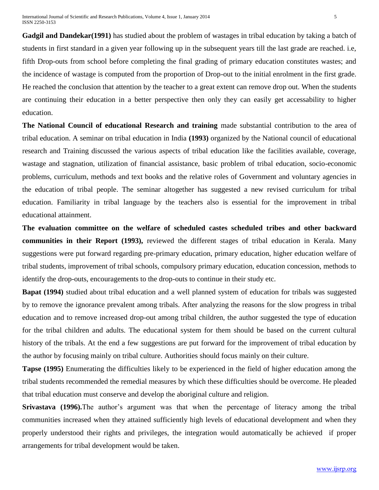**Gadgil and Dandekar(1991)** has studied about the problem of wastages in tribal education by taking a batch of students in first standard in a given year following up in the subsequent years till the last grade are reached. i.e, fifth Drop-outs from school before completing the final grading of primary education constitutes wastes; and the incidence of wastage is computed from the proportion of Drop-out to the initial enrolment in the first grade. He reached the conclusion that attention by the teacher to a great extent can remove drop out. When the students are continuing their education in a better perspective then only they can easily get accessability to higher education.

**The National Council of educational Research and training** made substantial contribution to the area of tribal education. A seminar on tribal education in India **(1993)** organized by the National council of educational research and Training discussed the various aspects of tribal education like the facilities available, coverage, wastage and stagnation, utilization of financial assistance, basic problem of tribal education, socio-economic problems, curriculum, methods and text books and the relative roles of Government and voluntary agencies in the education of tribal people. The seminar altogether has suggested a new revised curriculum for tribal education. Familiarity in tribal language by the teachers also is essential for the improvement in tribal educational attainment.

**The evaluation committee on the welfare of scheduled castes scheduled tribes and other backward communities in their Report (1993),** reviewed the different stages of tribal education in Kerala. Many suggestions were put forward regarding pre-primary education, primary education, higher education welfare of tribal students, improvement of tribal schools, compulsory primary education, education concession, methods to identify the drop-outs, encouragements to the drop-outs to continue in their study etc.

**Bapat (1994)** studied about tribal education and a well planned system of education for tribals was suggested by to remove the ignorance prevalent among tribals. After analyzing the reasons for the slow progress in tribal education and to remove increased drop-out among tribal children, the author suggested the type of education for the tribal children and adults. The educational system for them should be based on the current cultural history of the tribals. At the end a few suggestions are put forward for the improvement of tribal education by the author by focusing mainly on tribal culture. Authorities should focus mainly on their culture.

**Tapse (1995)** Enumerating the difficulties likely to be experienced in the field of higher education among the tribal students recommended the remedial measures by which these difficulties should be overcome. He pleaded that tribal education must conserve and develop the aboriginal culture and religion.

**Srivastava (1996).**The author's argument was that when the percentage of literacy among the tribal communities increased when they attained sufficiently high levels of educational development and when they properly understood their rights and privileges, the integration would automatically be achieved if proper arrangements for tribal development would be taken.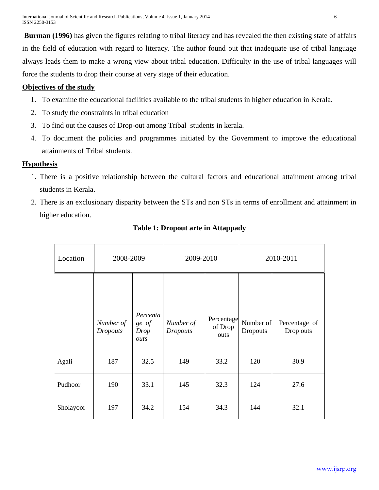**Burman (1996)** has given the figures relating to tribal literacy and has revealed the then existing state of affairs in the field of education with regard to literacy. The author found out that inadequate use of tribal language always leads them to make a wrong view about tribal education. Difficulty in the use of tribal languages will force the students to drop their course at very stage of their education.

# **Objectives of the study**

- 1. To examine the educational facilities available to the tribal students in higher education in Kerala.
- 2. To study the constraints in tribal education
- 3. To find out the causes of Drop-out among Tribal students in kerala.
- 4. To document the policies and programmes initiated by the Government to improve the educational attainments of Tribal students.

# **Hypothesis**

- 1. There is a positive relationship between the cultural factors and educational attainment among tribal students in Kerala.
- 2. There is an exclusionary disparity between the STs and non STs in terms of enrollment and attainment in higher education.

| Location  | 2008-2009       |                   | 2009-2010       |                       | 2010-2011 |               |
|-----------|-----------------|-------------------|-----------------|-----------------------|-----------|---------------|
|           | Number of       | Percenta<br>ge of | Number of       | Percentage<br>of Drop | Number of | Percentage of |
|           | <b>Dropouts</b> | Drop<br>outs      | <b>Dropouts</b> | outs                  | Dropouts  | Drop outs     |
| Agali     | 187             | 32.5              | 149             | 33.2                  | 120       | 30.9          |
| Pudhoor   | 190             | 33.1              | 145             | 32.3                  | 124       | 27.6          |
| Sholayoor | 197             | 34.2              | 154             | 34.3                  | 144       | 32.1          |

# **Table 1: Dropout arte in Attappady**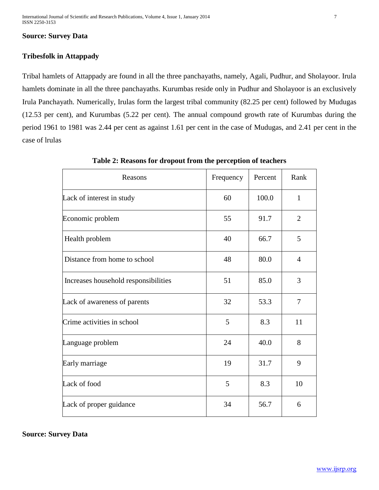## **Source: Survey Data**

# **Tribesfolk in Attappady**

Tribal hamlets of Attappady are found in all the three panchayaths, namely, Agali, Pudhur, and Sholayoor. Irula hamlets dominate in all the three panchayaths. Kurumbas reside only in Pudhur and Sholayoor is an exclusively Irula Panchayath. Numerically, Irulas form the largest tribal community (82.25 per cent) followed by Mudugas (12.53 per cent), and Kurumbas (5.22 per cent). The annual compound growth rate of Kurumbas during the period 1961 to 1981 was 2.44 per cent as against 1.61 per cent in the case of Mudugas, and 2.41 per cent in the case of lrulas

| Reasons                              | Frequency | Percent | Rank           |
|--------------------------------------|-----------|---------|----------------|
| Lack of interest in study            | 60        | 100.0   | $\mathbf{1}$   |
| Economic problem                     | 55        | 91.7    | $\overline{2}$ |
| Health problem                       | 40        | 66.7    | 5              |
| Distance from home to school         | 48        | 80.0    | $\overline{4}$ |
| Increases household responsibilities | 51        | 85.0    | 3              |
| Lack of awareness of parents         | 32        | 53.3    | 7              |
| Crime activities in school           | 5         | 8.3     | 11             |
| Language problem                     | 24        | 40.0    | 8              |
| Early marriage                       | 19        | 31.7    | 9              |
| Lack of food                         | 5         | 8.3     | 10             |
| Lack of proper guidance              | 34        | 56.7    | 6              |

**Table 2: Reasons for dropout from the perception of teachers**

**Source: Survey Data**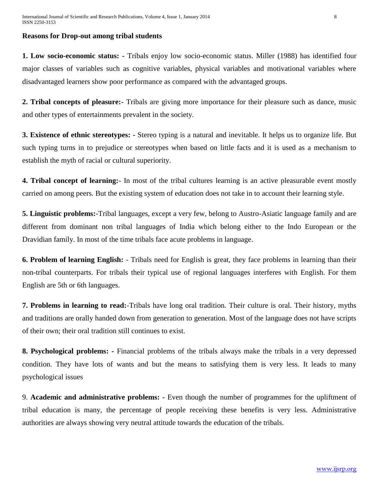## **Reasons for Drop-out among tribal students**

**1. Low socio-economic status: -** Tribals enjoy low socio-economic status. Miller (1988) has identified four major classes of variables such as cognitive variables, physical variables and motivational variables where disadvantaged learners show poor performance as compared with the advantaged groups.

**2. Tribal concepts of pleasure:-** Tribals are giving more importance for their pleasure such as dance, music and other types of entertainments prevalent in the society.

**3. Existence of ethnic stereotypes: -** Stereo typing is a natural and inevitable. It helps us to organize life. But such typing turns in to prejudice or stereotypes when based on little facts and it is used as a mechanism to establish the myth of racial or cultural superiority.

**4. Tribal concept of learning:**- In most of the tribal cultures learning is an active pleasurable event mostly carried on among peers. But the existing system of education does not take in to account their learning style.

**5. Linguistic problems:**-Tribal languages, except a very few, belong to Austro-Asiatic language family and are different from dominant non tribal languages of India which belong either to the Indo European or the Dravidian family. In most of the time tribals face acute problems in language.

**6. Problem of learning English:** - Tribals need for English is great, they face problems in learning than their non-tribal counterparts. For tribals their typical use of regional languages interferes with English. For them English are 5th or 6th languages.

**7. Problems in learning to read:**-Tribals have long oral tradition. Their culture is oral. Their history, myths and traditions are orally handed down from generation to generation. Most of the language does not have scripts of their own; their oral tradition still continues to exist.

**8. Psychological problems: -** Financial problems of the tribals always make the tribals in a very depressed condition. They have lots of wants and but the means to satisfying them is very less. It leads to many psychological issues

9. **Academic and administrative problems: -** Even though the number of programmes for the upliftment of tribal education is many, the percentage of people receiving these benefits is very less. Administrative authorities are always showing very neutral attitude towards the education of the tribals.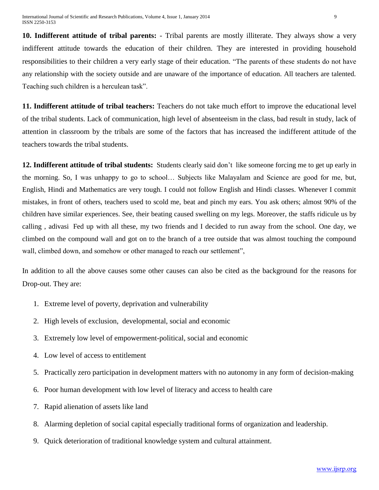**10. Indifferent attitude of tribal parents:** - Tribal parents are mostly illiterate. They always show a very indifferent attitude towards the education of their children. They are interested in providing household responsibilities to their children a very early stage of their education. "The parents of these students do not have any relationship with the society outside and are unaware of the importance of education. All teachers are talented. Teaching such children is a herculean task".

**11. Indifferent attitude of tribal teachers:** Teachers do not take much effort to improve the educational level of the tribal students. Lack of communication, high level of absenteeism in the class, bad result in study, lack of attention in classroom by the tribals are some of the factors that has increased the indifferent attitude of the teachers towards the tribal students.

**12. Indifferent attitude of tribal students:** Students clearly said don't like someone forcing me to get up early in the morning. So, I was unhappy to go to school… Subjects like Malayalam and Science are good for me, but, English, Hindi and Mathematics are very tough. I could not follow English and Hindi classes. Whenever I commit mistakes, in front of others, teachers used to scold me, beat and pinch my ears. You ask others; almost 90% of the children have similar experiences. See, their beating caused swelling on my legs. Moreover, the staffs ridicule us by calling , adivasi Fed up with all these, my two friends and I decided to run away from the school. One day, we climbed on the compound wall and got on to the branch of a tree outside that was almost touching the compound wall, climbed down, and somehow or other managed to reach our settlement",

In addition to all the above causes some other causes can also be cited as the background for the reasons for Drop-out. They are:

- 1. Extreme level of poverty, deprivation and vulnerability
- 2. High levels of exclusion, developmental, social and economic
- 3. Extremely low level of empowerment-political, social and economic
- 4. Low level of access to entitlement
- 5. Practically zero participation in development matters with no autonomy in any form of decision-making
- 6. Poor human development with low level of literacy and access to health care
- 7. Rapid alienation of assets like land
- 8. Alarming depletion of social capital especially traditional forms of organization and leadership.
- 9. Quick deterioration of traditional knowledge system and cultural attainment.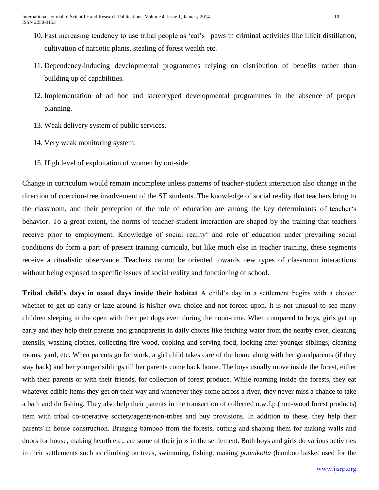- 10. Fast increasing tendency to use tribal people as 'cat's –paws in criminal activities like illicit distillation, cultivation of narcotic plants, stealing of forest wealth etc.
- 11. Dependency-inducing developmental programmes relying on distribution of benefits rather than building up of capabilities.
- 12. Implementation of ad hoc and stereotyped developmental programmes in the absence of proper planning.
- 13. Weak delivery system of public services.
- 14. Very weak monitoring system.
- 15. High level of exploitation of women by out-side

Change in curriculum would remain incomplete unless patterns of teacher-student interaction also change in the direction of coercion-free involvement of the ST students. The knowledge of social reality that teachers bring to the classroom, and their perception of the role of education are among the key determinants of teacher's behavior. To a great extent, the norms of teacher-student interaction are shaped by the training that teachers receive prior to employment. Knowledge of social reality' and role of education under prevailing social conditions do form a part of present training curricula, but like much else in teacher training, these segments receive a ritualistic observance. Teachers cannot be oriented towards new types of classroom interactions without being exposed to specific issues of social reality and functioning of school.

**Tribal child's days in usual days inside their habitat** A child's day in a settlement begins with a choice: whether to get up early or laze around is his/her own choice and not forced upon. It is not unusual to see many children sleeping in the open with their pet dogs even during the noon-time. When compared to boys, girls get up early and they help their parents and grandparents in daily chores like fetching water from the nearby river, cleaning utensils, washing clothes, collecting fire-wood, cooking and serving food, looking after younger siblings, cleaning rooms, yard, etc. When parents go for work, a girl child takes care of the home along with her grandparents (if they stay back) and her younger siblings till her parents come back home. The boys usually move inside the forest, either with their parents or with their friends, for collection of forest produce. While roaming inside the forests, they eat whatever edible items they get on their way and whenever they come across a river, they never miss a chance to take a bath and do fishing. They also help their parents in the transaction of collected n.w.f.p (non-wood forest products) item with tribal co-operative society/agents/non-tribes and buy provisions. In addition to these, they help their parents'in house construction. Bringing bamboo from the forests, cutting and shaping them for making walls and doors for house, making hearth etc., are some of their jobs in the settlement. Both boys and girls do various activities in their settlements such as climbing on trees, swimming, fishing, making *poonikotta* (bamboo basket used for the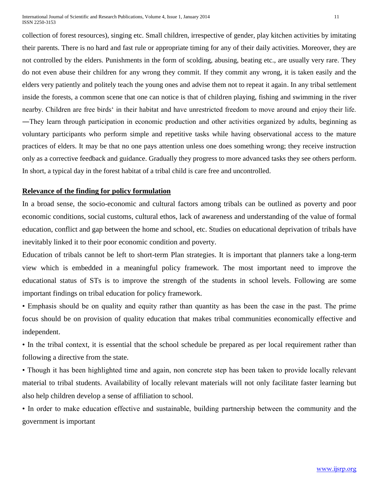International Journal of Scientific and Research Publications, Volume 4, Issue 1, January 2014 11 ISSN 2250-3153

collection of forest resources), singing etc. Small children, irrespective of gender, play kitchen activities by imitating their parents. There is no hard and fast rule or appropriate timing for any of their daily activities. Moreover, they are not controlled by the elders. Punishments in the form of scolding, abusing, beating etc., are usually very rare. They do not even abuse their children for any wrong they commit. If they commit any wrong, it is taken easily and the elders very patiently and politely teach the young ones and advise them not to repeat it again. In any tribal settlement inside the forests, a common scene that one can notice is that of children playing, fishing and swimming in the river nearby. Children are free birds' in their habitat and have unrestricted freedom to move around and enjoy their life. ―They learn through participation in economic production and other activities organized by adults, beginning as voluntary participants who perform simple and repetitive tasks while having observational access to the mature practices of elders. It may be that no one pays attention unless one does something wrong; they receive instruction only as a corrective feedback and guidance. Gradually they progress to more advanced tasks they see others perform. In short, a typical day in the forest habitat of a tribal child is care free and uncontrolled.

## **Relevance of the finding for policy formulation**

In a broad sense, the socio-economic and cultural factors among tribals can be outlined as poverty and poor economic conditions, social customs, cultural ethos, lack of awareness and understanding of the value of formal education, conflict and gap between the home and school, etc. Studies on educational deprivation of tribals have inevitably linked it to their poor economic condition and poverty.

Education of tribals cannot be left to short-term Plan strategies. It is important that planners take a long-term view which is embedded in a meaningful policy framework. The most important need to improve the educational status of STs is to improve the strength of the students in school levels. Following are some important findings on tribal education for policy framework.

• Emphasis should be on quality and equity rather than quantity as has been the case in the past. The prime focus should be on provision of quality education that makes tribal communities economically effective and independent.

• In the tribal context, it is essential that the school schedule be prepared as per local requirement rather than following a directive from the state.

• Though it has been highlighted time and again, non concrete step has been taken to provide locally relevant material to tribal students. Availability of locally relevant materials will not only facilitate faster learning but also help children develop a sense of affiliation to school.

• In order to make education effective and sustainable, building partnership between the community and the government is important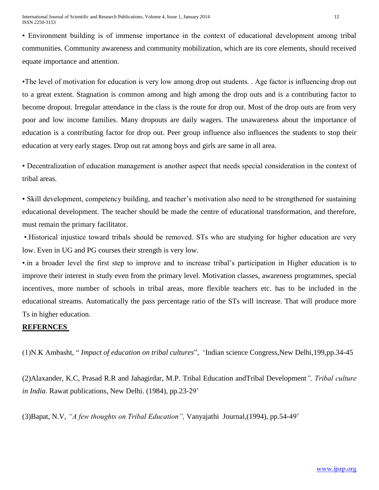• Environment building is of immense importance in the context of educational development among tribal communities. Community awareness and community mobilization, which are its core elements, should received equate importance and attention.

•The level of motivation for education is very low among drop out students. . Age factor is influencing drop out to a great extent. Stagnation is common among and high among the drop outs and is a contributing factor to become dropout. Irregular attendance in the class is the route for drop out. Most of the drop outs are from very poor and low income families. Many dropouts are daily wagers. The unawareness about the importance of education is a contributing factor for drop out. Peer group influence also influences the students to stop their education at very early stages. Drop out rat among boys and girls are same in all area.

• Decentralization of education management is another aspect that needs special consideration in the context of tribal areas.

• Skill development, competency building, and teacher's motivation also need to be strengthened for sustaining educational development. The teacher should be made the centre of educational transformation, and therefore, must remain the primary facilitator.

•.Historical injustice toward tribals should be removed. STs who are studying for higher education are very low. Even in UG and PG courses their strength is very low.

•.in a broader level the first step to improve and to increase tribal's participation in Higher education is to improve their interest in study even from the primary level. Motivation classes, awareness programmes, special incentives, more number of schools in tribal areas, more flexible teachers etc. has to be included in the educational streams. Automatically the pass percentage ratio of the STs will increase. That will produce more Ts in higher education.

# **REFERNCES**

(1)N.K Ambasht, " *Impact of education on tribal cultures*", 'Indian science Congress,New Delhi,199,pp.34-45

(2)Alaxander, K.C, Prasad R.R and Jahagirdar, M.P. Tribal Education andTribal Development*", Tribal culture in India.* Rawat publications, New Delhi. (1984), pp.23-29'

(3)Bapat, N.V, *"A few thoughts on Tribal Education",* Vanyajathi Journal,(1994), pp.54-49'